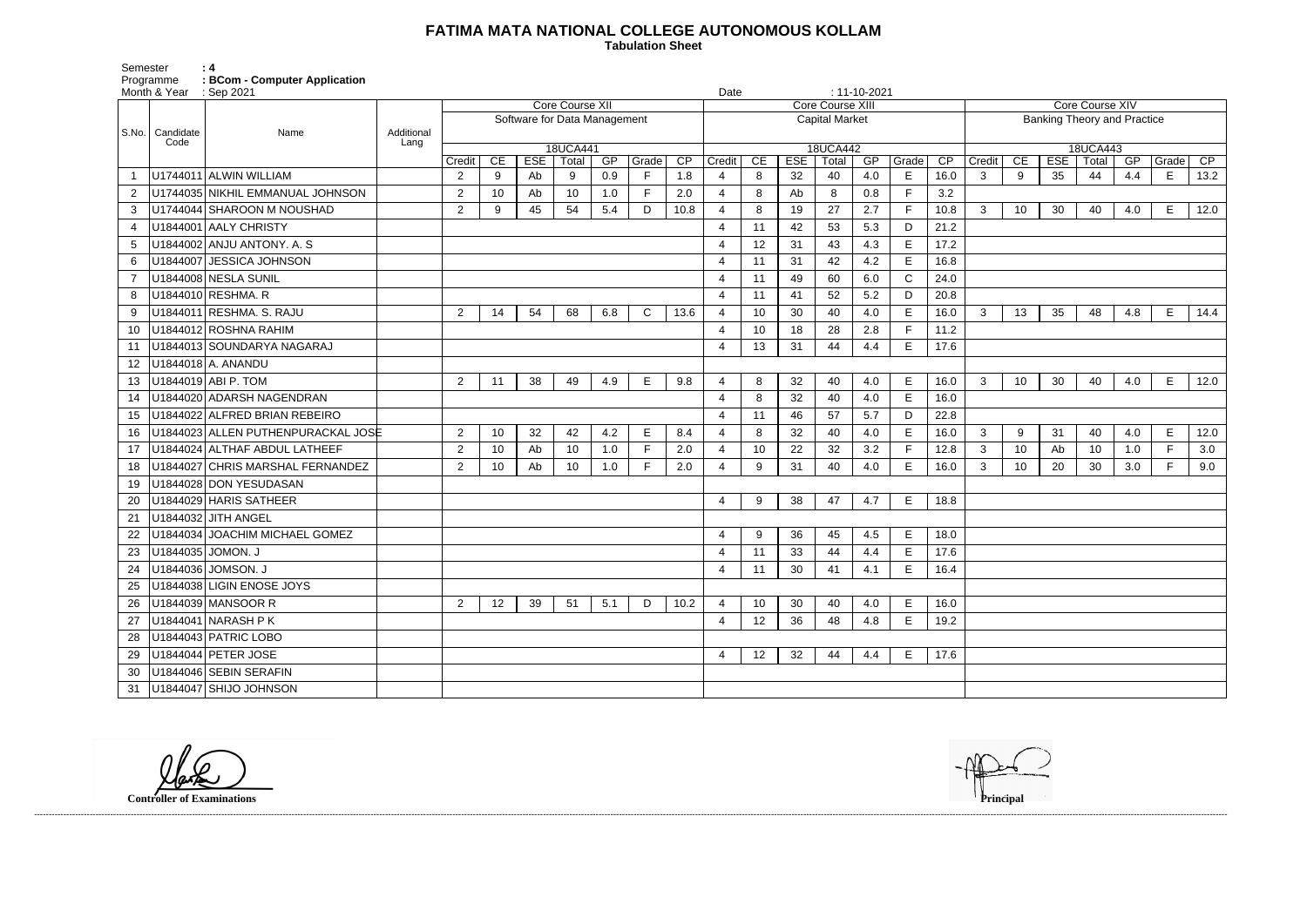## **FATIMA MATA NATIONAL COLLEGE AUTONOMOUS KOLLAM**

 **Tabulation Sheet** 

Semester<br>Programme<br>Month & Year Programme **: BCom - Computer Application**

| Core Course XIV                    |                                                                            |    |        |     |   |      |  |  |  |  |  |  |
|------------------------------------|----------------------------------------------------------------------------|----|--------|-----|---|------|--|--|--|--|--|--|
| <b>Banking Theory and Practice</b> |                                                                            |    |        |     |   |      |  |  |  |  |  |  |
| 18UCA443                           |                                                                            |    |        |     |   |      |  |  |  |  |  |  |
| Credit                             | $\overline{\mathsf{CE}}$<br>ESE<br>Total<br>GP<br>Grade<br>$\overline{CP}$ |    |        |     |   |      |  |  |  |  |  |  |
| 3                                  | 9                                                                          | 35 | 44     | 4.4 | E | 13.2 |  |  |  |  |  |  |
|                                    |                                                                            |    |        |     |   |      |  |  |  |  |  |  |
| 3                                  | 10                                                                         | 30 | 40     | 4.0 | E | 12.0 |  |  |  |  |  |  |
|                                    |                                                                            |    |        |     |   |      |  |  |  |  |  |  |
|                                    |                                                                            |    |        |     |   |      |  |  |  |  |  |  |
|                                    |                                                                            |    |        |     |   |      |  |  |  |  |  |  |
|                                    |                                                                            |    |        |     |   |      |  |  |  |  |  |  |
|                                    |                                                                            |    |        |     |   |      |  |  |  |  |  |  |
| 3                                  | 13<br>35<br>4.8<br>48<br>E                                                 |    |        |     |   |      |  |  |  |  |  |  |
|                                    |                                                                            |    |        |     |   | 14.4 |  |  |  |  |  |  |
|                                    |                                                                            |    |        |     |   |      |  |  |  |  |  |  |
|                                    |                                                                            |    |        |     |   |      |  |  |  |  |  |  |
|                                    |                                                                            |    |        |     |   |      |  |  |  |  |  |  |
| 3                                  | 10                                                                         | 30 | 40     | 4.0 | E | 12.0 |  |  |  |  |  |  |
|                                    |                                                                            |    |        |     |   |      |  |  |  |  |  |  |
|                                    |                                                                            |    |        |     |   |      |  |  |  |  |  |  |
| 3                                  | 9                                                                          | 31 | 40     | 4.0 | E | 12.0 |  |  |  |  |  |  |
| 3                                  | 10                                                                         | Ab | 10     | 1.0 | F | 3.0  |  |  |  |  |  |  |
| 3                                  | 10                                                                         | 20 | $30\,$ | 3.0 | F | 9.0  |  |  |  |  |  |  |
|                                    |                                                                            |    |        |     |   |      |  |  |  |  |  |  |
|                                    |                                                                            |    |        |     |   |      |  |  |  |  |  |  |
|                                    |                                                                            |    |        |     |   |      |  |  |  |  |  |  |
|                                    |                                                                            |    |        |     |   |      |  |  |  |  |  |  |
|                                    |                                                                            |    |        |     |   |      |  |  |  |  |  |  |
|                                    |                                                                            |    |        |     |   |      |  |  |  |  |  |  |
|                                    |                                                                            |    |        |     |   |      |  |  |  |  |  |  |
|                                    |                                                                            |    |        |     |   |      |  |  |  |  |  |  |
|                                    |                                                                            |    |        |     |   |      |  |  |  |  |  |  |
|                                    |                                                                            |    |        |     |   |      |  |  |  |  |  |  |
|                                    |                                                                            |    |        |     |   |      |  |  |  |  |  |  |
|                                    |                                                                            |    |        |     |   |      |  |  |  |  |  |  |
|                                    |                                                                            |    |        |     |   |      |  |  |  |  |  |  |
|                                    |                                                                            |    |        |     |   |      |  |  |  |  |  |  |





|                           | Month & Year | $\therefore$ Sep 2021              |            |                              |                 |            |          |     |              |                 |                       | $: 11 - 10 - 2021$<br>Date |            |       |     |              |      |          |                                    |                 |       |     |              |                 |  |  |
|---------------------------|--------------|------------------------------------|------------|------------------------------|-----------------|------------|----------|-----|--------------|-----------------|-----------------------|----------------------------|------------|-------|-----|--------------|------|----------|------------------------------------|-----------------|-------|-----|--------------|-----------------|--|--|
|                           |              |                                    |            | Core Course XII              |                 |            |          |     |              |                 |                       | <b>Core Course XIII</b>    |            |       |     |              |      |          |                                    | Core Course XIV |       |     |              |                 |  |  |
| S.No.   Candidate<br>Code |              | Name                               | Additional | Software for Data Management |                 |            |          |     |              |                 | <b>Capital Market</b> |                            |            |       |     |              |      |          | <b>Banking Theory and Practice</b> |                 |       |     |              |                 |  |  |
|                           |              |                                    | Lang       |                              |                 |            | 18UCA441 |     |              |                 | 18UCA442              |                            |            |       |     |              |      | 18UCA443 |                                    |                 |       |     |              |                 |  |  |
|                           |              |                                    |            | Credit                       | CE              | <b>ESE</b> | Total    | GP  | Grade        | $\overline{CP}$ | Credit                | CE                         | <b>ESE</b> | Total | GP  | Grade        | CP   | Credit   | CE                                 | <b>ESE</b>      | Total | GP  | Grade        | $\overline{CP}$ |  |  |
|                           |              | U1744011 ALWIN WILLIAM             |            | 2                            | 9               | Ab         | 9        | 0.9 | F.           | 1.8             | $\overline{4}$        | 8                          | 32         | 40    | 4.0 | E.           | 16.0 | 3        | 9                                  | 35              | 44    | 4.4 | Е            | 13.2            |  |  |
|                           |              | U1744035 NIKHIL EMMANUAL JOHNSON   |            | $\overline{2}$               | 10              | Ab         | 10       | 1.0 | F            | 2.0             | $\overline{4}$        | 8                          | Ab         | 8     | 0.8 | F            | 3.2  |          |                                    |                 |       |     |              |                 |  |  |
| 3                         |              | U1744044 SHAROON M NOUSHAD         |            | 2                            | 9               | 45         | 54       | 5.4 | D            | 10.8            | $\overline{4}$        | 8                          | 19         | 27    | 2.7 | F.           | 10.8 | 3        | 10                                 | 30              | 40    | 4.0 | Е            | 12.0            |  |  |
| 4                         |              | U1844001 AALY CHRISTY              |            |                              |                 |            |          |     |              |                 | $\overline{4}$        | 11                         | 42         | 53    | 5.3 | D            | 21.2 |          |                                    |                 |       |     |              |                 |  |  |
| 5                         |              | U1844002 ANJU ANTONY. A. S         |            |                              |                 |            |          |     |              |                 | $\boldsymbol{\Delta}$ | 12                         | 31         | 43    | 4.3 | E            | 17.2 |          |                                    |                 |       |     |              |                 |  |  |
| 6                         |              | U1844007 JESSICA JOHNSON           |            |                              |                 |            |          |     |              |                 | $\overline{4}$        | 11                         | 31         | 42    | 4.2 | E            | 16.8 |          |                                    |                 |       |     |              |                 |  |  |
|                           |              | U1844008 NESLA SUNIL               |            |                              |                 |            |          |     |              |                 | $\overline{4}$        | -11                        | 49         | 60    | 6.0 | $\mathsf{C}$ | 24.0 |          |                                    |                 |       |     |              |                 |  |  |
| 8                         |              | U1844010 RESHMA. R                 |            |                              |                 |            |          |     |              |                 | $\overline{4}$        | 11                         | 41         | 52    | 5.2 | D            | 20.8 |          |                                    |                 |       |     |              |                 |  |  |
| 9                         |              | U1844011 RESHMA. S. RAJU           |            | $\overline{2}$               | 14              | 54         | 68       | 6.8 | $\mathsf{C}$ | 13.6            | $\overline{4}$        | 10                         | 30         | 40    | 4.0 | E            | 16.0 | 3        | 13                                 | 35              | 48    | 4.8 | Е            | 14.4            |  |  |
| 10                        |              | U1844012 ROSHNA RAHIM              |            |                              |                 |            |          |     |              |                 | $\boldsymbol{\Delta}$ | 10                         | 18         | 28    | 2.8 | E.           | 11.2 |          |                                    |                 |       |     |              |                 |  |  |
| 11                        |              | U1844013 SOUNDARYA NAGARAJ         |            |                              |                 |            |          |     |              |                 | $\overline{4}$        | 13                         | 31         | 44    | 4.4 | E            | 17.6 |          |                                    |                 |       |     |              |                 |  |  |
| 12                        |              | U1844018 A. ANANDU                 |            |                              |                 |            |          |     |              |                 |                       |                            |            |       |     |              |      |          |                                    |                 |       |     |              |                 |  |  |
| 13                        |              | U1844019 ABI P. TOM                |            | 2                            | 11              | 38         | 49       | 4.9 | $\mathsf E$  | 9.8             | $\overline{4}$        | 8                          | 32         | 40    | 4.0 | E.           | 16.0 | 3        | 10                                 | 30              | 40    | 4.0 | E            | 12.0            |  |  |
| 14                        |              | U1844020 ADARSH NAGENDRAN          |            |                              |                 |            |          |     |              |                 | $\overline{4}$        | 8                          | 32         | 40    | 4.0 | E            | 16.0 |          |                                    |                 |       |     |              |                 |  |  |
| 15                        |              | U1844022 ALFRED BRIAN REBEIRO      |            |                              |                 |            |          |     |              |                 | $\boldsymbol{\Delta}$ | 11                         | 46         | 57    | 5.7 | D            | 22.8 |          |                                    |                 |       |     |              |                 |  |  |
| 16                        |              | U1844023 ALLEN PUTHENPURACKAL JOSE |            | 2                            | 10              | 32         | 42       | 4.2 | Е            | 8.4             | $\overline{4}$        | 8                          | 32         | 40    | 4.0 | E            | 16.0 | 3        | 9                                  | 31              | 40    | 4.0 | E            | 12.0            |  |  |
| 17                        |              | U1844024 ALTHAF ABDUL LATHEEF      |            | $\overline{2}$               | 10              | Ab         | 10       | 1.0 | F            | 2.0             | $\overline{4}$        | 10                         | 22         | 32    | 3.2 | F            | 12.8 | 3        | 10                                 | Ab              | 10    | 1.0 | F            | 3.0             |  |  |
| 18                        |              | U1844027 CHRIS MARSHAL FERNANDEZ   |            | 2                            | 10 <sup>°</sup> | Ab         | 10       | 1.0 | F            | 2.0             | 4                     | 9                          | 31         | 40    | 4.0 | E            | 16.0 | 3        | 10                                 | 20              | 30    | 3.0 | $\mathsf{F}$ | 9.0             |  |  |
| 19                        |              | U1844028 DON YESUDASAN             |            |                              |                 |            |          |     |              |                 |                       |                            |            |       |     |              |      |          |                                    |                 |       |     |              |                 |  |  |
| 20                        |              | U1844029 HARIS SATHEER             |            |                              |                 |            |          |     |              |                 | 4                     | 9                          | 38         | 47    | 4.7 | E            | 18.8 |          |                                    |                 |       |     |              |                 |  |  |
| 21                        |              | U1844032 JITH ANGEL                |            |                              |                 |            |          |     |              |                 |                       |                            |            |       |     |              |      |          |                                    |                 |       |     |              |                 |  |  |
| 22                        |              | U1844034 JOACHIM MICHAEL GOMEZ     |            |                              |                 |            |          |     |              |                 | $\overline{4}$        | -9                         | 36         | 45    | 4.5 | E            | 18.0 |          |                                    |                 |       |     |              |                 |  |  |
| 23                        |              | U1844035 JOMON. J                  |            |                              |                 |            |          |     |              |                 | $\overline{4}$        | 11                         | 33         | 44    | 4.4 | E            | 17.6 |          |                                    |                 |       |     |              |                 |  |  |
| 24                        |              | U1844036 JOMSON. J                 |            |                              |                 |            |          |     |              |                 | 4                     | 11                         | 30         | 41    | 4.1 | Е            | 16.4 |          |                                    |                 |       |     |              |                 |  |  |
| 25                        |              | U1844038 LIGIN ENOSE JOYS          |            |                              |                 |            |          |     |              |                 |                       |                            |            |       |     |              |      |          |                                    |                 |       |     |              |                 |  |  |
| 26                        |              | U1844039 MANSOOR R                 |            | $2^{\circ}$                  | 12              | 39         | 51       | 5.1 | D            | 10.2            | $\overline{4}$        | 10                         | 30         | 40    | 4.0 | E            | 16.0 |          |                                    |                 |       |     |              |                 |  |  |
| 27                        |              | U1844041 NARASH P K                |            |                              |                 |            |          |     |              |                 | $\overline{4}$        | 12                         | 36         | 48    | 4.8 | E            | 19.2 |          |                                    |                 |       |     |              |                 |  |  |
| 28                        |              | U1844043 PATRIC LOBO               |            |                              |                 |            |          |     |              |                 |                       |                            |            |       |     |              |      |          |                                    |                 |       |     |              |                 |  |  |
| 29                        |              | U1844044 PETER JOSE                |            |                              |                 |            |          |     |              |                 | $\overline{4}$        | 12                         | 32         | 44    | 4.4 | E.           | 17.6 |          |                                    |                 |       |     |              |                 |  |  |
| 30                        |              | U1844046 SEBIN SERAFIN             |            |                              |                 |            |          |     |              |                 |                       |                            |            |       |     |              |      |          |                                    |                 |       |     |              |                 |  |  |
|                           |              | 31   U1844047   SHIJO JOHNSON      |            |                              |                 |            |          |     |              |                 |                       |                            |            |       |     |              |      |          |                                    |                 |       |     |              |                 |  |  |

**Controller of Examinations Principal**

------------------------------------------------------------------------------------------------------------------------------------------------------------------------------------------------------------------------------------------------------------------------------------------------------------------------------------------------------------------------------------------------------------------------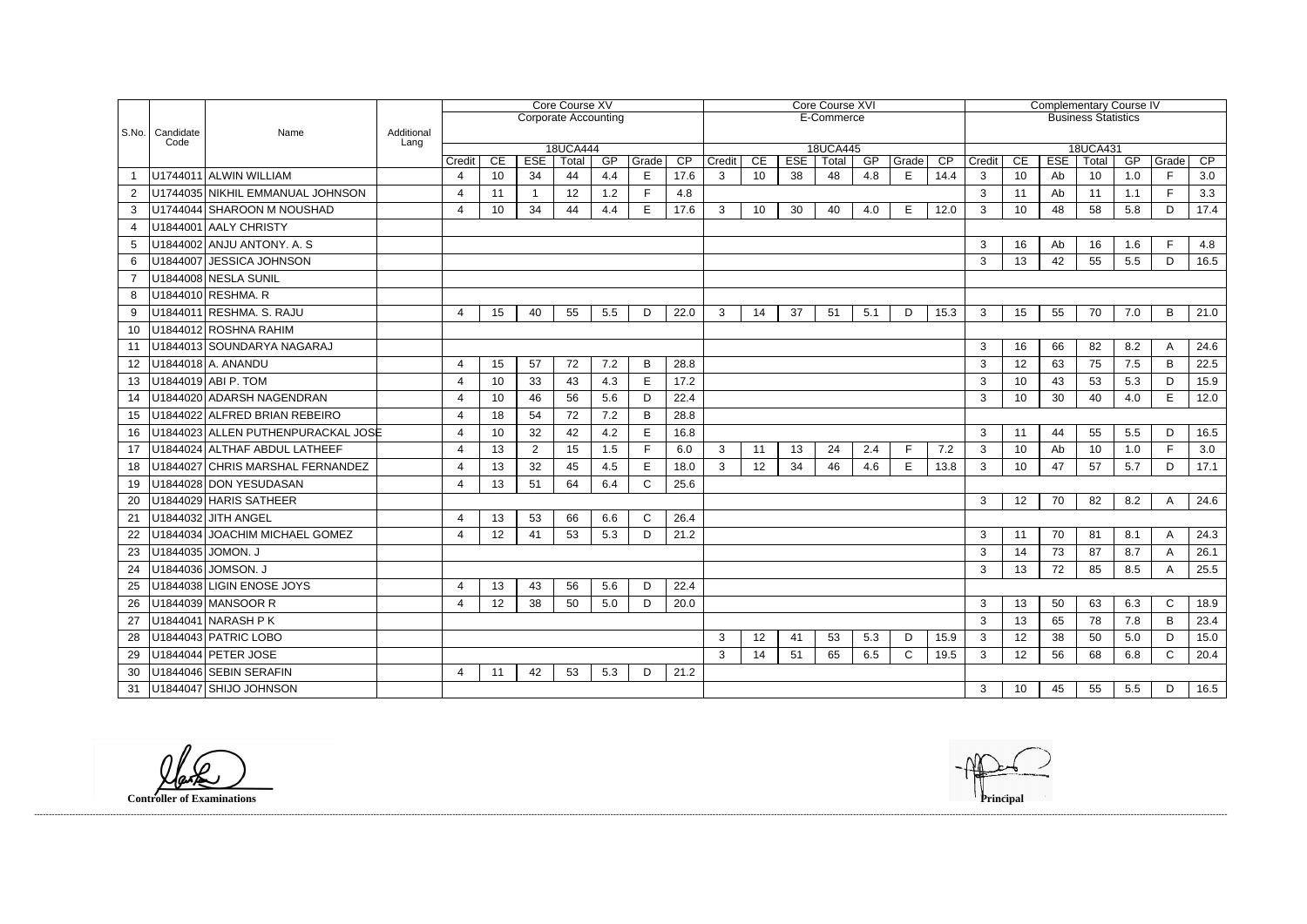|                   |                                                                                           |                                    | Core Course XV           |                                           |                         |                 |           |            |            | Core Course XVI |                 |           |                            |              |             | <b>Complementary Course IV</b> |              |                 |                  |             |           |              |           |
|-------------------|-------------------------------------------------------------------------------------------|------------------------------------|--------------------------|-------------------------------------------|-------------------------|-----------------|-----------|------------|------------|-----------------|-----------------|-----------|----------------------------|--------------|-------------|--------------------------------|--------------|-----------------|------------------|-------------|-----------|--------------|-----------|
|                   |                                                                                           |                                    |                          | <b>Corporate Accounting</b><br>E-Commerce |                         |                 |           |            |            |                 |                 |           | <b>Business Statistics</b> |              |             |                                |              |                 |                  |             |           |              |           |
|                   | S.No.   Candidate<br>Code                                                                 | Additional<br>Name<br>Lang         |                          |                                           |                         |                 |           |            |            |                 |                 |           |                            |              |             |                                |              |                 |                  |             |           |              |           |
|                   |                                                                                           |                                    |                          |                                           |                         | <b>18UCA444</b> |           |            |            |                 | 18UCA445        |           |                            |              |             | 18UCA431                       |              |                 |                  |             |           |              |           |
|                   |                                                                                           | U1744011 ALWIN WILLIAM             | Credit<br>$\overline{4}$ | CE<br>10                                  | <b>ESE</b><br>34        | Total<br>44     | GP<br>4.4 | Grade<br>Е | CP<br>17.6 | Credit<br>3     | CE<br>10        | ESE<br>38 | Total<br>48                | GP<br>4.8    | Grade<br>E. | CP<br>14.4                     | Credit<br>3  | CE<br>10        | <b>ESE</b><br>Ab | Total<br>10 | GP<br>1.0 | Grade<br>E   | CP<br>3.0 |
| 2                 |                                                                                           | U1744035 NIKHIL EMMANUAL JOHNSON   |                          | 11                                        | $\overline{\mathbf{1}}$ | 12              | 1.2       | Е          | 4.8        |                 |                 |           |                            |              |             |                                | 3            | 11              | Ab               | 11          | 1.1       | F            | 3.3       |
| 3                 | U1744044 SHAROON M NOUSHAD                                                                |                                    | $\overline{4}$<br>4      | 10                                        | 34                      | 44              | 4.4       | E          | 17.6       | 3               | 10              | 30        | 40                         | 4.0          | E.          | 12.0                           | 3            | 10              | 48               | 58          | 5.8       | D            | 17.4      |
| 4                 |                                                                                           | U1844001 AALY CHRISTY              |                          |                                           |                         |                 |           |            |            |                 |                 |           |                            |              |             |                                |              |                 |                  |             |           |              |           |
| 5                 |                                                                                           | U1844002 ANJU ANTONY. A. S         |                          |                                           |                         |                 |           |            |            |                 |                 |           |                            |              |             |                                | 3            | 16              | Ab               | 16          | 1.6       | E            | 4.8       |
| 6                 |                                                                                           | U1844007 JESSICA JOHNSON           |                          |                                           |                         |                 |           |            |            |                 |                 |           |                            |              |             |                                | 3            | 13              | 42               | 55          | 5.5       | D            | 16.5      |
|                   |                                                                                           | U1844008 NESLA SUNIL               |                          |                                           |                         |                 |           |            |            |                 |                 |           |                            |              |             |                                |              |                 |                  |             |           |              |           |
| 8                 |                                                                                           | U1844010 RESHMA. R                 |                          |                                           |                         |                 |           |            |            |                 |                 |           |                            |              |             |                                |              |                 |                  |             |           |              |           |
| 9                 |                                                                                           | U1844011 RESHMA. S. RAJU           | 4                        | 15                                        | 40                      | 55              | 5.5       | D          | 22.0       | 3               | 14              | 37        | 51                         | 5.1          | D           | 15.3                           | 3            | 15              | 55               | 70          | 7.0       | B            |           |
| 10                |                                                                                           | U1844012 ROSHNA RAHIM              |                          |                                           |                         |                 |           |            |            |                 |                 |           |                            |              |             |                                |              |                 |                  |             |           |              | 21.0      |
|                   |                                                                                           | U1844013 SOUNDARYA NAGARAJ         |                          |                                           |                         |                 |           |            |            |                 |                 |           |                            |              |             |                                |              |                 |                  |             |           |              | 24.6      |
| 11                |                                                                                           |                                    | $\overline{\mathcal{A}}$ |                                           |                         |                 |           |            |            |                 |                 |           |                            |              |             |                                | 3            | 16<br>12        | 66               | 82          | 8.2       | A            |           |
| $12 \overline{ }$ | U1844018 A. ANANDU<br>U1844019 ABI P. TOM                                                 |                                    |                          | 15                                        | 57                      | 72              | 7.2       | B          | 28.8       |                 |                 |           |                            |              |             |                                | 3            |                 | 63               | 75          | 7.5       | B            | 22.5      |
| 13                |                                                                                           |                                    | 4                        | 10                                        | 33                      | 43              | 4.3       | E          | 17.2       |                 |                 | 3         | 10 <sup>°</sup>            | 43           | 53          | 5.3                            | D            | 15.9            |                  |             |           |              |           |
| 14                |                                                                                           | U1844020 ADARSH NAGENDRAN          | 4                        | 10                                        | 46                      | 56              | 5.6       | D          | 22.4       |                 |                 |           |                            |              |             |                                | 3            | 10 <sup>°</sup> | 30               | 40          | 4.0       | E            | 12.0      |
| 15                |                                                                                           | U1844022 ALFRED BRIAN REBEIRO      | 4                        | 18                                        | 54                      | 72              | 7.2       | B          | 28.8       |                 |                 |           |                            |              |             |                                |              |                 |                  |             |           |              |           |
| 16                |                                                                                           | U1844023 ALLEN PUTHENPURACKAL JOSE | $\overline{4}$           | 10                                        | 32                      | 42              | 4.2       | E          | 16.8       |                 |                 |           |                            |              |             |                                | 3            | 11              | 44               | 55          | 5.5       | D            | 16.5      |
| 17                |                                                                                           | U1844024 ALTHAF ABDUL LATHEEF      | $\overline{4}$           | 13                                        | $\overline{2}$          | 15              | 1.5       |            | 6.0        | 3               | 11              | 13        | 24                         | 2.4          | F           | 7.2                            | 3            | 10              | Ab               | 10          | 1.0       | E            | 3.0       |
| 18                |                                                                                           | U1844027 CHRIS MARSHAL FERNANDEZ   | 4                        | 13                                        | 32                      | 45              | 4.5       | E          | 18.0       | 3               | 12              | 34        | 46                         | 4.6          | E           | 13.8                           | 3            | 10              | 47               | 57          | 5.7       | D            | 17.1      |
| 19                |                                                                                           | U1844028 DON YESUDASAN             | 4                        | 13                                        | 51                      | 64              | 6.4       | C          | 25.6       |                 |                 |           |                            |              |             |                                |              |                 |                  |             |           |              |           |
| 20                |                                                                                           | U1844029 HARIS SATHEER             |                          |                                           |                         |                 |           |            |            |                 |                 |           |                            |              |             |                                | 3            | 12              | 70               | 82          | 8.2       | $\mathsf{A}$ | 24.6      |
| 21                |                                                                                           | U1844032 JITH ANGEL                | 4                        | 13                                        | 53                      | 66              | 6.6       | C          | 26.4       |                 |                 |           |                            |              |             |                                |              |                 |                  |             |           |              |           |
| 22                |                                                                                           | U1844034 JOACHIM MICHAEL GOMEZ     | $\overline{4}$           | 12                                        | 41                      | 53              | 5.3       | D          | 21.2       |                 |                 |           |                            |              |             |                                | $\mathbf{3}$ | 11              | 70               | 81          | 8.1       | $\mathsf{A}$ | 24.3      |
| 23                |                                                                                           | U1844035 JOMON. J                  |                          |                                           |                         |                 |           |            |            |                 |                 |           |                            | 3            | 14          | 73                             | 87           | 8.7             | A                | 26.1        |           |              |           |
| 24                |                                                                                           | U1844036 JOMSON. J                 |                          |                                           |                         |                 |           |            |            |                 |                 |           |                            |              |             |                                | 3            | 13              | 72               | 85          | 8.5       | A            | 25.5      |
|                   | 25   U1844038   LIGIN ENOSE JOYS<br>22.4<br>13<br>43<br>56<br>5.6<br>$\overline{4}$<br>D. |                                    |                          |                                           |                         |                 |           |            |            |                 |                 |           |                            |              |             |                                |              |                 |                  |             |           |              |           |
| 26                |                                                                                           | U1844039 MANSOOR R                 | 4                        | 12                                        | 38                      | 50              | 5.0       | D          | 20.0       |                 |                 |           |                            | $\mathbf{3}$ | 13          | 50                             | 63           | 6.3             | $\mathsf{C}$     | 18.9        |           |              |           |
| 27                | U1844041 NARASH P K                                                                       |                                    |                          |                                           |                         |                 |           |            |            |                 |                 |           |                            |              |             |                                | 3            | 13              | 65               | 78          | 7.8       | B            | 23.4      |
| 28                |                                                                                           | U1844043 PATRIC LOBO               |                          |                                           |                         |                 |           |            |            | 3               | 12              | 41        | 53                         | 5.3          | D           | 15.9                           | 3            | 12              | 38               | 50          | 5.0       | D            | 15.0      |
| 29                |                                                                                           | U1844044 PETER JOSE                |                          |                                           |                         |                 |           |            |            | 3               | 14              | 51        | 65                         | 6.5          | $\mathsf C$ | 19.5                           | 3            | 12              | 56               | 68          | 6.8       | $\mathsf{C}$ | 20.4      |
| 30                |                                                                                           | U1844046 SEBIN SERAFIN             | 4                        | 11                                        | 42                      | 53              | 5.3       | D          | 21.2       |                 |                 |           |                            |              |             |                                |              |                 |                  |             |           |              |           |
| 31                |                                                                                           | U1844047 SHIJO JOHNSON             |                          |                                           |                         |                 |           |            |            | $\mathbf{3}$    | 10 <sup>°</sup> | 45        | 55                         | 5.5          | D           | 16.5                           |              |                 |                  |             |           |              |           |

**Controller of Examinations Principal**



------------------------------------------------------------------------------------------------------------------------------------------------------------------------------------------------------------------------------------------------------------------------------------------------------------------------------------------------------------------------------------------------------------------------